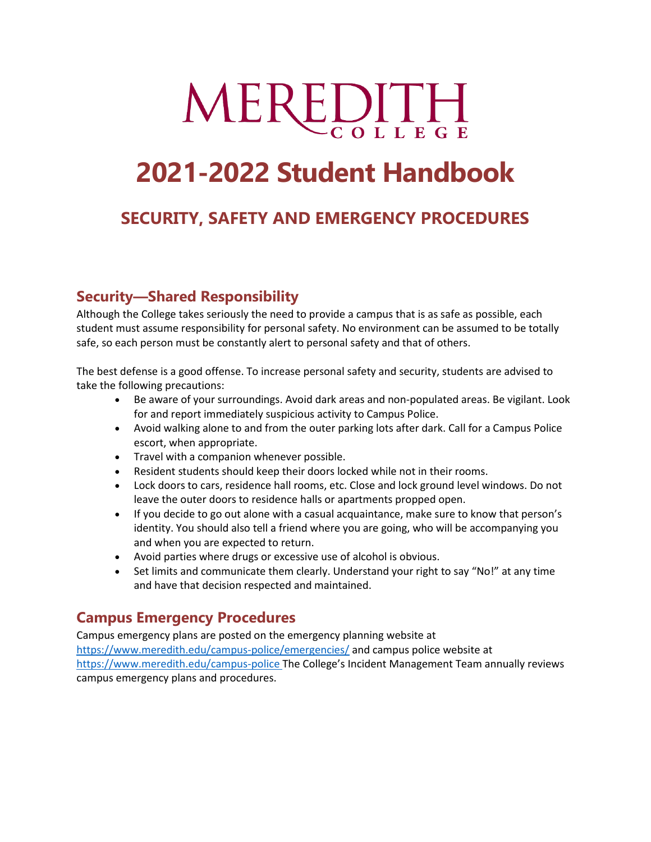# MEREDITH

# **2021-2022 Student Handbook**

# **SECURITY, SAFETY AND EMERGENCY PROCEDURES**

# **Security—Shared Responsibility**

Although the College takes seriously the need to provide a campus that is as safe as possible, each student must assume responsibility for personal safety. No environment can be assumed to be totally safe, so each person must be constantly alert to personal safety and that of others.

The best defense is a good offense. To increase personal safety and security, students are advised to take the following precautions:

- Be aware of your surroundings. Avoid dark areas and non-populated areas. Be vigilant. Look for and report immediately suspicious activity to Campus Police.
- Avoid walking alone to and from the outer parking lots after dark. Call for a Campus Police escort, when appropriate.
- Travel with a companion whenever possible.
- Resident students should keep their doors locked while not in their rooms.
- Lock doors to cars, residence hall rooms, etc. Close and lock ground level windows. Do not leave the outer doors to residence halls or apartments propped open.
- If you decide to go out alone with a casual acquaintance, make sure to know that person's identity. You should also tell a friend where you are going, who will be accompanying you and when you are expected to return.
- Avoid parties where drugs or excessive use of alcohol is obvious.
- Set limits and communicate them clearly. Understand your right to say "No!" at any time and have that decision respected and maintained.

# **Campus Emergency Procedures**

Campus emergency plans are posted on the emergency planning website at <https://www.meredith.edu/campus-police/emergencies/> and campus police website at <https://www.meredith.edu/campus-police> The College's Incident Management Team annually reviews campus emergency plans and procedures.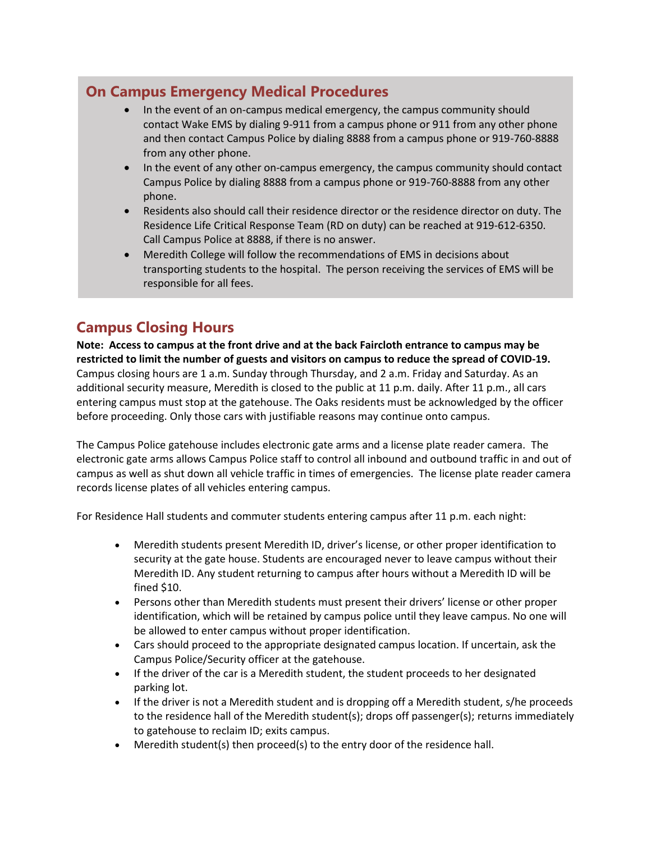# **On Campus Emergency Medical Procedures**

- In the event of an on-campus medical emergency, the campus community should contact Wake EMS by dialing 9-911 from a campus phone or 911 from any other phone and then contact Campus Police by dialing 8888 from a campus phone or 919-760-8888 from any other phone.
- In the event of any other on-campus emergency, the campus community should contact Campus Police by dialing 8888 from a campus phone or 919-760-8888 from any other phone.
- Residents also should call their residence director or the residence director on duty. The Residence Life Critical Response Team (RD on duty) can be reached at 919-612-6350. Call Campus Police at 8888, if there is no answer.
- Meredith College will follow the recommendations of EMS in decisions about transporting students to the hospital. The person receiving the services of EMS will be responsible for all fees.

# **Campus Closing Hours**

**Note: Access to campus at the front drive and at the back Faircloth entrance to campus may be restricted to limit the number of guests and visitors on campus to reduce the spread of COVID-19.**  Campus closing hours are 1 a.m. Sunday through Thursday, and 2 a.m. Friday and Saturday. As an additional security measure, Meredith is closed to the public at 11 p.m. daily. After 11 p.m., all cars entering campus must stop at the gatehouse. The Oaks residents must be acknowledged by the officer before proceeding. Only those cars with justifiable reasons may continue onto campus.

The Campus Police gatehouse includes electronic gate arms and a license plate reader camera. The electronic gate arms allows Campus Police staff to control all inbound and outbound traffic in and out of campus as well as shut down all vehicle traffic in times of emergencies. The license plate reader camera records license plates of all vehicles entering campus.

For Residence Hall students and commuter students entering campus after 11 p.m. each night:

- Meredith students present Meredith ID, driver's license, or other proper identification to security at the gate house. Students are encouraged never to leave campus without their Meredith ID. Any student returning to campus after hours without a Meredith ID will be fined \$10.
- Persons other than Meredith students must present their drivers' license or other proper identification, which will be retained by campus police until they leave campus. No one will be allowed to enter campus without proper identification.
- Cars should proceed to the appropriate designated campus location. If uncertain, ask the Campus Police/Security officer at the gatehouse.
- If the driver of the car is a Meredith student, the student proceeds to her designated parking lot.
- If the driver is not a Meredith student and is dropping off a Meredith student, s/he proceeds to the residence hall of the Meredith student(s); drops off passenger(s); returns immediately to gatehouse to reclaim ID; exits campus.
- Meredith student(s) then proceed(s) to the entry door of the residence hall.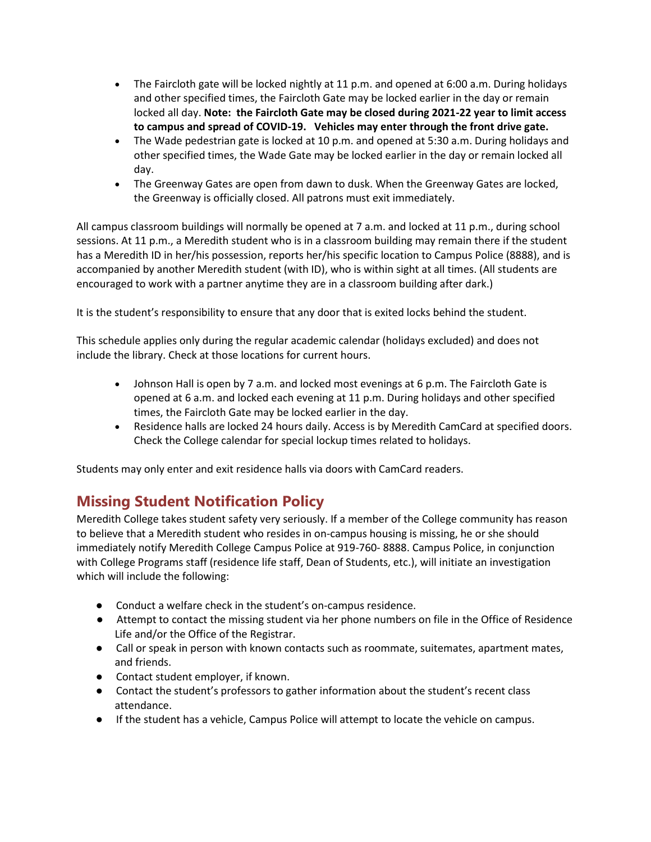- The Faircloth gate will be locked nightly at 11 p.m. and opened at 6:00 a.m. During holidays and other specified times, the Faircloth Gate may be locked earlier in the day or remain locked all day. **Note: the Faircloth Gate may be closed during 2021-22 year to limit access to campus and spread of COVID-19. Vehicles may enter through the front drive gate.**
- The Wade pedestrian gate is locked at 10 p.m. and opened at 5:30 a.m. During holidays and other specified times, the Wade Gate may be locked earlier in the day or remain locked all day.
- The Greenway Gates are open from dawn to dusk. When the Greenway Gates are locked, the Greenway is officially closed. All patrons must exit immediately.

All campus classroom buildings will normally be opened at 7 a.m. and locked at 11 p.m., during school sessions. At 11 p.m., a Meredith student who is in a classroom building may remain there if the student has a Meredith ID in her/his possession, reports her/his specific location to Campus Police (8888), and is accompanied by another Meredith student (with ID), who is within sight at all times. (All students are encouraged to work with a partner anytime they are in a classroom building after dark.)

It is the student's responsibility to ensure that any door that is exited locks behind the student.

This schedule applies only during the regular academic calendar (holidays excluded) and does not include the library. Check at those locations for current hours.

- Johnson Hall is open by 7 a.m. and locked most evenings at 6 p.m. The Faircloth Gate is opened at 6 a.m. and locked each evening at 11 p.m. During holidays and other specified times, the Faircloth Gate may be locked earlier in the day.
- Residence halls are locked 24 hours daily. Access is by Meredith CamCard at specified doors. Check the College calendar for special lockup times related to holidays.

Students may only enter and exit residence halls via doors with CamCard readers.

# **Missing Student Notification Policy**

Meredith College takes student safety very seriously. If a member of the College community has reason to believe that a Meredith student who resides in on-campus housing is missing, he or she should immediately notify Meredith College Campus Police at 919-760- 8888. Campus Police, in conjunction with College Programs staff (residence life staff, Dean of Students, etc.), will initiate an investigation which will include the following:

- Conduct a welfare check in the student's on-campus residence.
- Attempt to contact the missing student via her phone numbers on file in the Office of Residence Life and/or the Office of the Registrar.
- Call or speak in person with known contacts such as roommate, suitemates, apartment mates, and friends.
- Contact student employer, if known.
- Contact the student's professors to gather information about the student's recent class attendance.
- If the student has a vehicle, Campus Police will attempt to locate the vehicle on campus.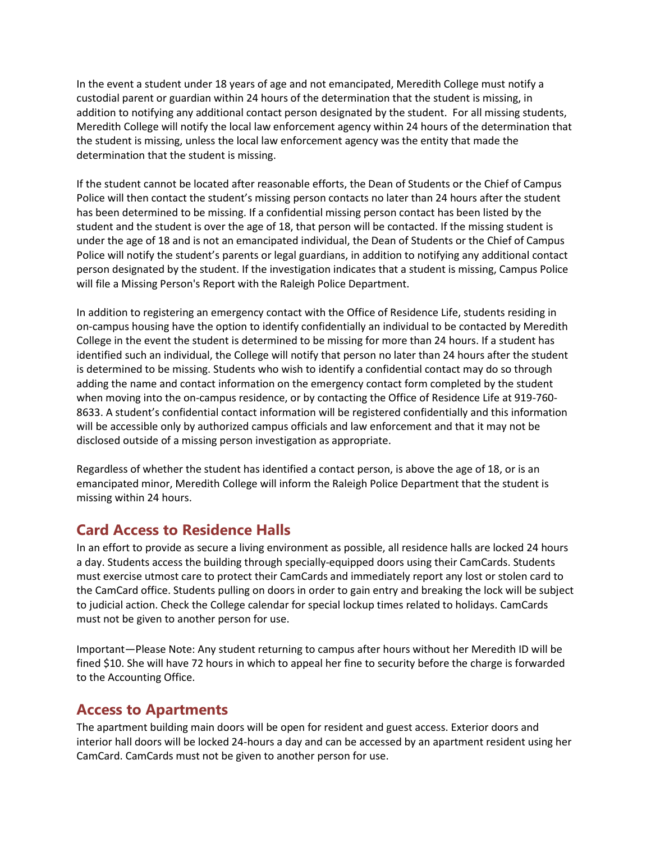In the event a student under 18 years of age and not emancipated, Meredith College must notify a custodial parent or guardian within 24 hours of the determination that the student is missing, in addition to notifying any additional contact person designated by the student. For all missing students, Meredith College will notify the local law enforcement agency within 24 hours of the determination that the student is missing, unless the local law enforcement agency was the entity that made the determination that the student is missing.

If the student cannot be located after reasonable efforts, the Dean of Students or the Chief of Campus Police will then contact the student's missing person contacts no later than 24 hours after the student has been determined to be missing. If a confidential missing person contact has been listed by the student and the student is over the age of 18, that person will be contacted. If the missing student is under the age of 18 and is not an emancipated individual, the Dean of Students or the Chief of Campus Police will notify the student's parents or legal guardians, in addition to notifying any additional contact person designated by the student. If the investigation indicates that a student is missing, Campus Police will file a Missing Person's Report with the Raleigh Police Department.

In addition to registering an emergency contact with the Office of Residence Life, students residing in on-campus housing have the option to identify confidentially an individual to be contacted by Meredith College in the event the student is determined to be missing for more than 24 hours. If a student has identified such an individual, the College will notify that person no later than 24 hours after the student is determined to be missing. Students who wish to identify a confidential contact may do so through adding the name and contact information on the emergency contact form completed by the student when moving into the on-campus residence, or by contacting the Office of Residence Life at 919-760- 8633. A student's confidential contact information will be registered confidentially and this information will be accessible only by authorized campus officials and law enforcement and that it may not be disclosed outside of a missing person investigation as appropriate.

Regardless of whether the student has identified a contact person, is above the age of 18, or is an emancipated minor, Meredith College will inform the Raleigh Police Department that the student is missing within 24 hours.

# **Card Access to Residence Halls**

In an effort to provide as secure a living environment as possible, all residence halls are locked 24 hours a day. Students access the building through specially-equipped doors using their CamCards. Students must exercise utmost care to protect their CamCards and immediately report any lost or stolen card to the CamCard office. Students pulling on doors in order to gain entry and breaking the lock will be subject to judicial action. Check the College calendar for special lockup times related to holidays. CamCards must not be given to another person for use.

Important—Please Note: Any student returning to campus after hours without her Meredith ID will be fined \$10. She will have 72 hours in which to appeal her fine to security before the charge is forwarded to the Accounting Office.

# **Access to Apartments**

The apartment building main doors will be open for resident and guest access. Exterior doors and interior hall doors will be locked 24-hours a day and can be accessed by an apartment resident using her CamCard. CamCards must not be given to another person for use.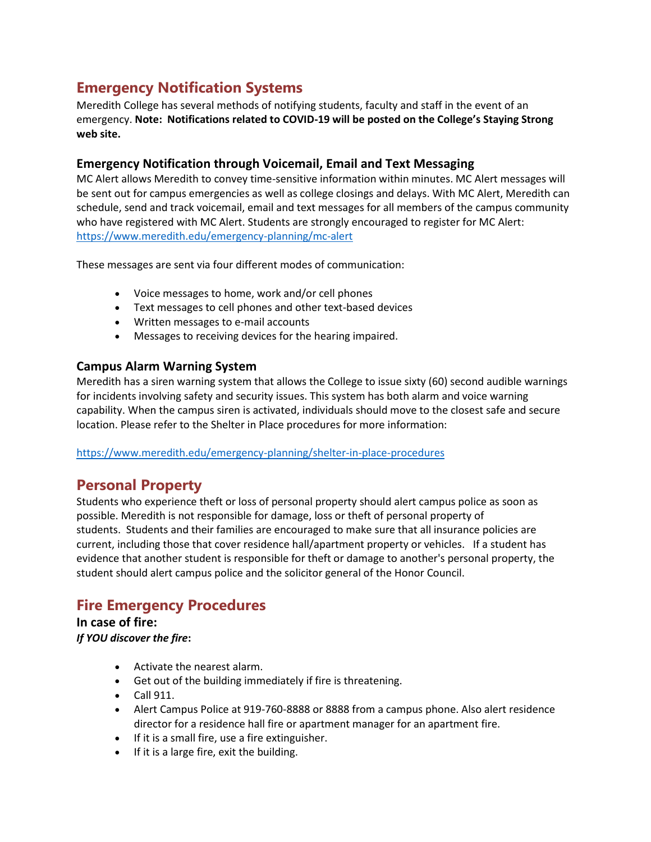# **Emergency Notification Systems**

Meredith College has several methods of notifying students, faculty and staff in the event of an emergency. **Note: Notifications related to COVID-19 will be posted on the College's Staying Strong web site.** 

#### **Emergency Notification through Voicemail, Email and Text Messaging**

MC Alert allows Meredith to convey time-sensitive information within minutes. MC Alert messages will be sent out for campus emergencies as well as college closings and delays. With MC Alert, Meredith can schedule, send and track voicemail, email and text messages for all members of the campus community who have registered with MC Alert. Students are strongly encouraged to register for MC Alert: <https://www.meredith.edu/emergency-planning/mc-alert>

These messages are sent via four different modes of communication:

- Voice messages to home, work and/or cell phones
- Text messages to cell phones and other text-based devices
- Written messages to e-mail accounts
- Messages to receiving devices for the hearing impaired.

#### **Campus Alarm Warning System**

Meredith has a siren warning system that allows the College to issue sixty (60) second audible warnings for incidents involving safety and security issues. This system has both alarm and voice warning capability. When the campus siren is activated, individuals should move to the closest safe and secure location. Please refer to the Shelter in Place procedures for more information:

#### <https://www.meredith.edu/emergency-planning/shelter-in-place-procedures>

# **Personal Property**

Students who experience theft or loss of personal property should alert campus police as soon as possible. Meredith is not responsible for damage, loss or theft of personal property of students. Students and their families are encouraged to make sure that all insurance policies are current, including those that cover residence hall/apartment property or vehicles. If a student has evidence that another student is responsible for theft or damage to another's personal property, the student should alert campus police and the solicitor general of the Honor Council.

# **Fire Emergency Procedures**

**In case of fire:**  *If YOU discover the fire***:**

- Activate the nearest alarm.
- Get out of the building immediately if fire is threatening.
- Call 911.
- Alert Campus Police at 919-760-8888 or 8888 from a campus phone. Also alert residence director for a residence hall fire or apartment manager for an apartment fire.
- If it is a small fire, use a fire extinguisher.
- If it is a large fire, exit the building.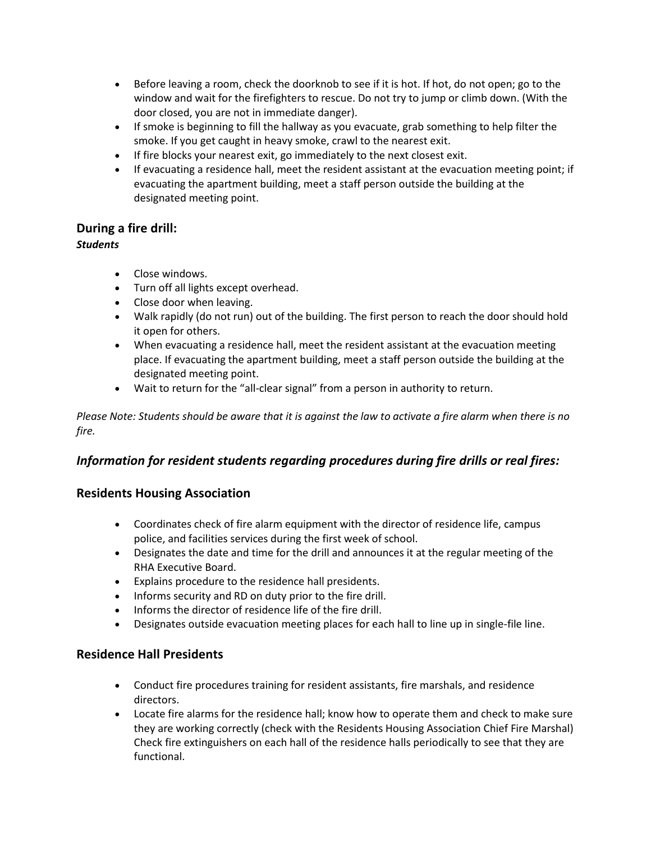- Before leaving a room, check the doorknob to see if it is hot. If hot, do not open; go to the window and wait for the firefighters to rescue. Do not try to jump or climb down. (With the door closed, you are not in immediate danger).
- If smoke is beginning to fill the hallway as you evacuate, grab something to help filter the smoke. If you get caught in heavy smoke, crawl to the nearest exit.
- If fire blocks your nearest exit, go immediately to the next closest exit.
- If evacuating a residence hall, meet the resident assistant at the evacuation meeting point; if evacuating the apartment building, meet a staff person outside the building at the designated meeting point.

#### **During a fire drill:**

#### *Students*

- Close windows.
- Turn off all lights except overhead.
- Close door when leaving.
- Walk rapidly (do not run) out of the building. The first person to reach the door should hold it open for others.
- When evacuating a residence hall, meet the resident assistant at the evacuation meeting place. If evacuating the apartment building, meet a staff person outside the building at the designated meeting point.
- Wait to return for the "all-clear signal" from a person in authority to return.

*Please Note: Students should be aware that it is against the law to activate a fire alarm when there is no fire.*

#### *Information for resident students regarding procedures during fire drills or real fires:*

#### **Residents Housing Association**

- Coordinates check of fire alarm equipment with the director of residence life, campus police, and facilities services during the first week of school.
- Designates the date and time for the drill and announces it at the regular meeting of the RHA Executive Board.
- Explains procedure to the residence hall presidents.
- Informs security and RD on duty prior to the fire drill.
- Informs the director of residence life of the fire drill.
- Designates outside evacuation meeting places for each hall to line up in single-file line.

#### **Residence Hall Presidents**

- Conduct fire procedures training for resident assistants, fire marshals, and residence directors.
- Locate fire alarms for the residence hall; know how to operate them and check to make sure they are working correctly (check with the Residents Housing Association Chief Fire Marshal) Check fire extinguishers on each hall of the residence halls periodically to see that they are functional.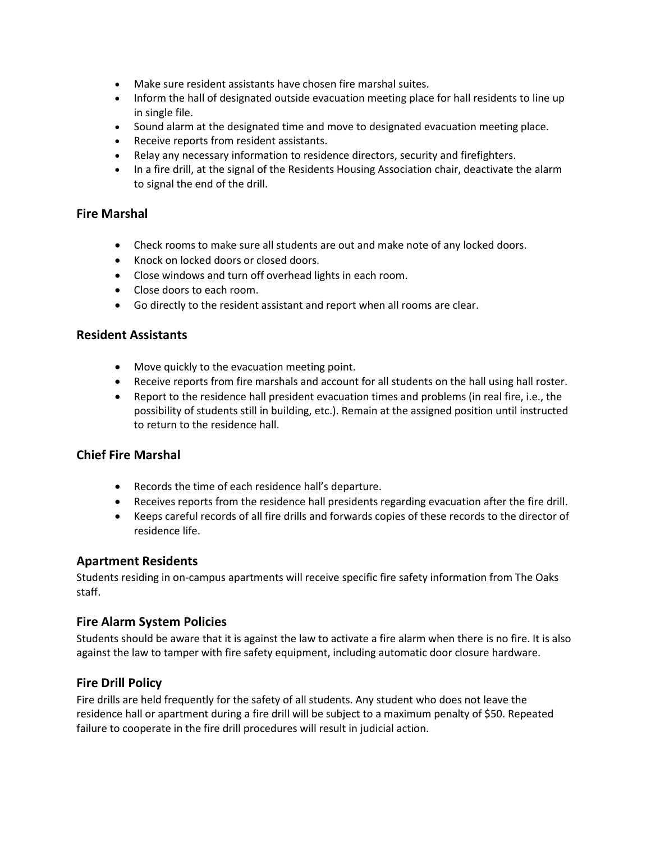- Make sure resident assistants have chosen fire marshal suites.
- Inform the hall of designated outside evacuation meeting place for hall residents to line up in single file.
- Sound alarm at the designated time and move to designated evacuation meeting place.
- Receive reports from resident assistants.
- Relay any necessary information to residence directors, security and firefighters.
- In a fire drill, at the signal of the Residents Housing Association chair, deactivate the alarm to signal the end of the drill.

#### **Fire Marshal**

- Check rooms to make sure all students are out and make note of any locked doors.
- Knock on locked doors or closed doors.
- Close windows and turn off overhead lights in each room.
- Close doors to each room.
- Go directly to the resident assistant and report when all rooms are clear.

#### **Resident Assistants**

- Move quickly to the evacuation meeting point.
- Receive reports from fire marshals and account for all students on the hall using hall roster.
- Report to the residence hall president evacuation times and problems (in real fire, i.e., the possibility of students still in building, etc.). Remain at the assigned position until instructed to return to the residence hall.

#### **Chief Fire Marshal**

- Records the time of each residence hall's departure.
- Receives reports from the residence hall presidents regarding evacuation after the fire drill.
- Keeps careful records of all fire drills and forwards copies of these records to the director of residence life.

#### **Apartment Residents**

Students residing in on-campus apartments will receive specific fire safety information from The Oaks staff.

#### **Fire Alarm System Policies**

Students should be aware that it is against the law to activate a fire alarm when there is no fire. It is also against the law to tamper with fire safety equipment, including automatic door closure hardware.

#### **Fire Drill Policy**

Fire drills are held frequently for the safety of all students. Any student who does not leave the residence hall or apartment during a fire drill will be subject to a maximum penalty of \$50. Repeated failure to cooperate in the fire drill procedures will result in judicial action.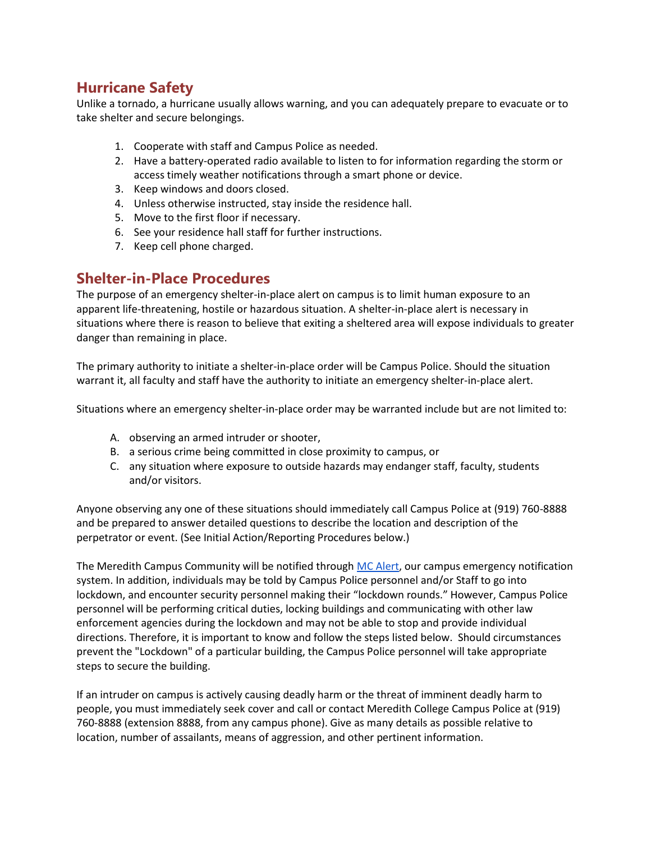# **Hurricane Safety**

Unlike a tornado, a hurricane usually allows warning, and you can adequately prepare to evacuate or to take shelter and secure belongings.

- 1. Cooperate with staff and Campus Police as needed.
- 2. Have a battery-operated radio available to listen to for information regarding the storm or access timely weather notifications through a smart phone or device.
- 3. Keep windows and doors closed.
- 4. Unless otherwise instructed, stay inside the residence hall.
- 5. Move to the first floor if necessary.
- 6. See your residence hall staff for further instructions.
- 7. Keep cell phone charged.

#### **Shelter-in-Place Procedures**

The purpose of an emergency shelter-in-place alert on campus is to limit human exposure to an apparent life-threatening, hostile or hazardous situation. A shelter-in-place alert is necessary in situations where there is reason to believe that exiting a sheltered area will expose individuals to greater danger than remaining in place.

The primary authority to initiate a shelter-in-place order will be Campus Police. Should the situation warrant it, all faculty and staff have the authority to initiate an emergency shelter-in-place alert.

Situations where an emergency shelter-in-place order may be warranted include but are not limited to:

- A. observing an armed intruder or shooter,
- B. a serious crime being committed in close proximity to campus, or
- C. any situation where exposure to outside hazards may endanger staff, faculty, students and/or visitors.

Anyone observing any one of these situations should immediately call Campus Police at (919) 760-8888 and be prepared to answer detailed questions to describe the location and description of the perpetrator or event. (See Initial Action/Reporting Procedures below.)

The Meredith Campus Community will be notified throug[h MC Alert,](https://www.meredith.edu/emergency-planning/mc-alert/) our campus emergency notification system. In addition, individuals may be told by Campus Police personnel and/or Staff to go into lockdown, and encounter security personnel making their "lockdown rounds." However, Campus Police personnel will be performing critical duties, locking buildings and communicating with other law enforcement agencies during the lockdown and may not be able to stop and provide individual directions. Therefore, it is important to know and follow the steps listed below. Should circumstances prevent the "Lockdown" of a particular building, the Campus Police personnel will take appropriate steps to secure the building.

If an intruder on campus is actively causing deadly harm or the threat of imminent deadly harm to people, you must immediately seek cover and call or contact Meredith College Campus Police at (919) 760-8888 (extension 8888, from any campus phone). Give as many details as possible relative to location, number of assailants, means of aggression, and other pertinent information.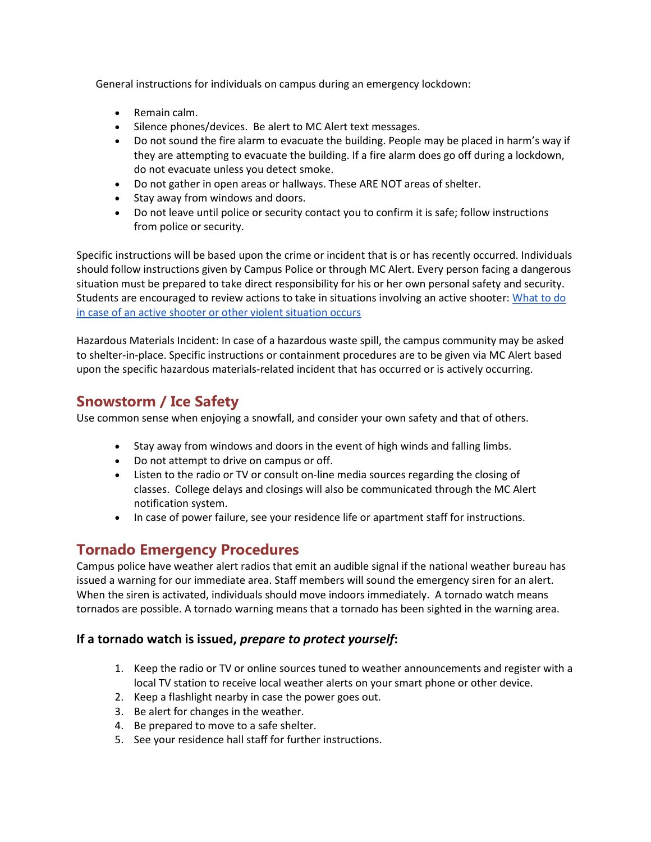General instructions for individuals on campus during an emergency lockdown:

- Remain calm.
- Silence phones/devices. Be alert to MC Alert text messages.
- Do not sound the fire alarm to evacuate the building. People may be placed in harm's way if they are attempting to evacuate the building. If a fire alarm does go off during a lockdown, do not evacuate unless you detect smoke.
- Do not gather in open areas or hallways. These ARE NOT areas of shelter.
- Stay away from windows and doors.
- Do not leave until police or security contact you to confirm it is safe; follow instructions from police or security.

Specific instructions will be based upon the crime or incident that is or has recently occurred. Individuals should follow instructions given by Campus Police or through MC Alert. Every person facing a dangerous situation must be prepared to take direct responsibility for his or her own personal safety and security. Students are encouraged to review actions to take in situations involving an active shooter[: What to do](https://www.meredith.edu/emergency-planning/preparing-for-an-active-shooter-threatening-individual/)  [in case of an active shooter or other violent situation occurs](https://www.meredith.edu/emergency-planning/preparing-for-an-active-shooter-threatening-individual/)

Hazardous Materials Incident: In case of a hazardous waste spill, the campus community may be asked to shelter-in-place. Specific instructions or containment procedures are to be given via MC Alert based upon the specific hazardous materials-related incident that has occurred or is actively occurring.

# **Snowstorm / Ice Safety**

Use common sense when enjoying a snowfall, and consider your own safety and that of others.

- Stay away from windows and doors in the event of high winds and falling limbs.
- Do not attempt to drive on campus or off.
- Listen to the radio or TV or consult on-line media sources regarding the closing of classes. College delays and closings will also be communicated through the MC Alert notification system.
- In case of power failure, see your residence life or apartment staff for instructions.

# **Tornado Emergency Procedures**

Campus police have weather alert radios that emit an audible signal if the national weather bureau has issued a warning for our immediate area. Staff members will sound the emergency siren for an alert. When the siren is activated, individuals should move indoors immediately. A tornado watch means tornados are possible. A tornado warning means that a tornado has been sighted in the warning area.

#### **If a tornado watch is issued,** *prepare to protect yourself***:**

- 1. Keep the radio or TV or online sources tuned to weather announcements and register with a local TV station to receive local weather alerts on your smart phone or other device.
- 2. Keep a flashlight nearby in case the power goes out.
- 3. Be alert for changes in the weather.
- 4. Be prepared to move to a safe shelter.
- 5. See your residence hall staff for further instructions.